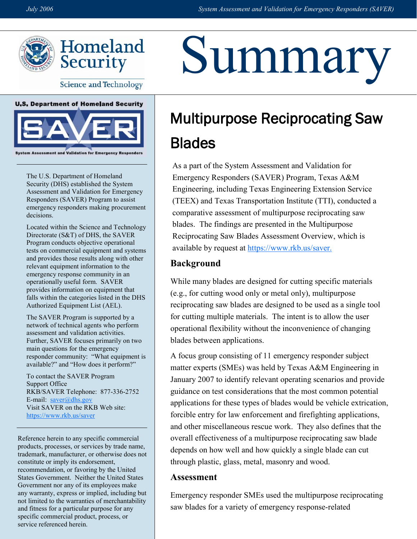

**Science and Technology** 



The U.S. Department of Homeland Security (DHS) established the System Assessment and Validation for Emergency Responders (SAVER) Program to assist emergency responders making procurement decisions.

Located within the Science and Technology Directorate (S&T) of DHS, the SAVER Program conducts objective operational tests on commercial equipment and systems and provides those results along with other relevant equipment information to the emergency response community in an operationally useful form. SAVER provides information on equipment that falls within the categories listed in the DHS Authorized Equipment List (AEL).

The SAVER Program is supported by a network of technical agents who perform assessment and validation activities. Further, SAVER focuses primarily on two main questions for the emergency responder community: "What equipment is available?" and "How does it perform?"

To contact the SAVER Program Support Office RKB/SAVER Telephone: 877-336-2752 E-mail:  $saver@dhs.gov$ Visit SAVER on the RKB Web site: <https://www.rkb.us/saver>

Reference herein to any specific commercial products, processes, or services by trade name, trademark, manufacturer, or otherwise does not constitute or imply its endorsement, recommendation, or favoring by the United States Government. Neither the United States Government nor any of its employees make any warranty, express or implied, including but not limited to the warranties of merchantability and fitness for a particular purpose for any specific commercial product, process, or service referenced herein.

# **Multipurpose Reciprocating Saw** Blades

Summary

As a part of the System Assessment and Validation for Emergency Responders (SAVER) Program, Texas A&M Engineering, including Texas Engineering Extension Service (TEEX) and Texas Transportation Institute (TTI), conducted a comparative assessment of multipurpose reciprocating saw blades. The findings are presented in the Multipurpose Reciprocating Saw Blades Assessment Overview, which is available by request at [https://www.rkb.us/saver.](https://www.rkb.us/saver)

# **Background**

While many blades are designed for cutting specific materials (e.g., for cutting wood only or metal only), multipurpose reciprocating saw blades are designed to be used as a single tool for cutting multiple materials. The intent is to allow the user operational flexibility without the inconvenience of changing blades between applications.

A focus group consisting of 11 emergency responder subject matter experts (SMEs) was held by Texas A&M Engineering in January 2007 to identify relevant operating scenarios and provide guidance on test considerations that the most common potential applications for these types of blades would be vehicle extrication, forcible entry for law enforcement and firefighting applications, and other miscellaneous rescue work. They also defines that the overall effectiveness of a multipurpose reciprocating saw blade depends on how well and how quickly a single blade can cut through plastic, glass, metal, masonry and wood.

## **Assessment**

Emergency responder SMEs used the multipurpose reciprocating saw blades for a variety of emergency response-related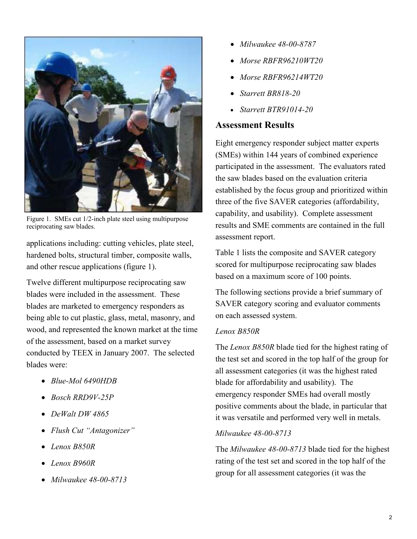

Figure 1. SMEs cut  $1/2$ -inch plate steel using multipurpose reciprocating saw blades.

applications including: cutting vehicles, plate steel, hardened bolts, structural timber, composite walls, and other rescue applications (figure 1).

Twelve different multipurpose reciprocating saw blades were included in the assessment. These blades are marketed to emergency responders as being able to cut plastic, glass, metal, masonry, and wood, and represented the known market at the time of the assessment, based on a market survey conducted by TEEX in January 2007. The selected blades were:

- $\bullet$  Blue-Mol 6490HDB
- Bosch RRD9V25P
- DeWalt DW  $4865$
- Flush Cut "Antagonizer"
- Lenox B850R
- Lenox B960R
- Milwaukee  $48-00-8713$
- Milwaukee  $48-00-8787$
- Morse RBFR96210WT20
- Morse RBFR96214WT20
- Starrett BR818-20
- Starrett BTR91014-20

#### **Assessment Results**

 Eight emergency responder subject matter experts established by the focus group and prioritized within three of the five SAVER categories (affordability, (SMEs) within 144 years of combined experience participated in the assessment. The evaluators rated the saw blades based on the evaluation criteria capability, and usability). Complete assessment results and SME comments are contained in the full assessment report.

Table 1 lists the composite and SAVER category scored for multipurpose reciprocating saw blades based on a maximum score of 100 points.

 SAVER category scoring and evaluator comments on each assessed system. The following sections provide a brief summary of

#### Lenox B850R

The Lenox B850R blade tied for the highest rating of the test set and scored in the top half of the group for it was versatile and performed very well in metals. all assessment categories (it was the highest rated blade for affordability and usability). The emergency responder SMEs had overall mostly positive comments about the blade, in particular that

#### Milwaukee  $48-00-8713$

 group for all assessment categories (it was the The Milwaukee 48-00-8713 blade tied for the highest rating of the test set and scored in the top half of the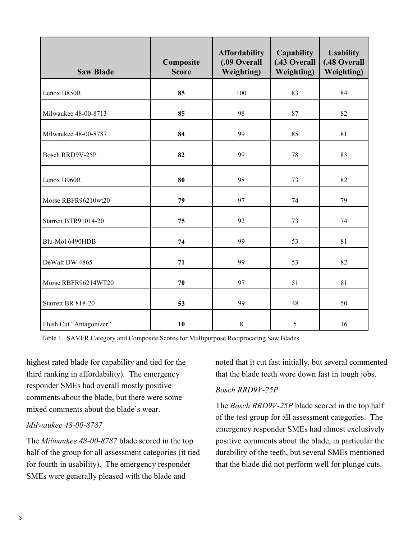| <b>Saw Blade</b>        | Composite<br><b>Score</b> | <b>Affordability</b><br>(.09 Overall<br><b>Weighting</b> ) | <b>Capability</b><br>(.43 Overall<br><b>Weighting</b> ) | <b>Usability</b><br>(.48 Overall<br><b>Weighting</b> ) |
|-------------------------|---------------------------|------------------------------------------------------------|---------------------------------------------------------|--------------------------------------------------------|
| Lenox B850R             | 85                        | 100                                                        | 83                                                      | 84                                                     |
| Milwaukee 48-00-8713    | 85                        | 98                                                         | 87                                                      | 82                                                     |
| Milwaukee 48-00-8787    | 84                        | 99                                                         | 85                                                      | 81                                                     |
| Bosch RRD9V-25P         | 82                        | 99                                                         | 78                                                      | 83                                                     |
| Lenox B960R             | 80                        | 98                                                         | 73                                                      | 82                                                     |
| Morse RBFR96210wt20     | 79                        | 97                                                         | 74                                                      | 79                                                     |
| Starrett BTR91014-20    | 75                        | 92                                                         | 73                                                      | 74                                                     |
| Blu-Mol 6490HDB         | 74                        | 99                                                         | 53                                                      | 81                                                     |
| DeWalt DW 4865          | 71                        | 99                                                         | 53                                                      | 82                                                     |
| Morse RBFR96214WT20     | 70                        | 97                                                         | 51                                                      | 81                                                     |
| Starrett BR 818-20      | 53                        | 99                                                         | 48                                                      | 50                                                     |
| Flush Cut "Antagonizer" | 10                        | $\,8\,$                                                    | 5                                                       | 16                                                     |

Table 1. SAVER Category and Composite Scores for Multipurpose Reciprocating Saw Blades

 third ranking in affordability). The emergency highest rated blade for capability and tied for the responder SMEs had overall mostly positive comments about the blade, but there were some mixed comments about the blade's wear.

#### Milwaukee 48-00-8787

 half of the group for all assessment categories (it tied SMEs were generally pleased with the blade and The Milwaukee 48-00-8787 blade scored in the top for fourth in usability). The emergency responder

noted that it cut fast initially, but several commented that the blade teeth wore down fast in tough jobs.

### Bosch RRD9V-25P

The Bosch RRD9V-25P blade scored in the top half of the test group for all assessment categories. The emergency responder SMEs had almost exclusively positive comments about the blade, in particular the durability of the teeth, but several SMEs mentioned that the blade did not perform well for plunge cuts.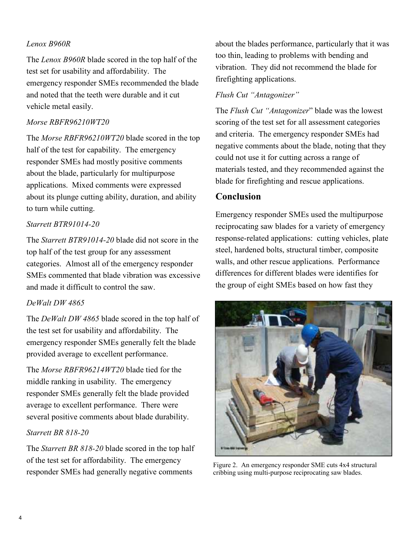#### Lenox B960R

 and noted that the teeth were durable and it cut The *Lenox B960R* blade scored in the top half of the test set for usability and affordability. The emergency responder SMEs recommended the blade vehicle metal easily.

#### Morse RBFR96210WT20

 applications. Mixed comments were expressed The Morse RBFR96210WT20 blade scored in the top half of the test for capability. The emergency responder SMEs had mostly positive comments about the blade, particularly for multipurpose about its plunge cutting ability, duration, and ability to turn while cutting.

#### Starrett BTR91014-20

 top half of the test group for any assessment SMEs commented that blade vibration was excessive The *Starrett BTR91014-20* blade did not score in the categories. Almost all of the emergency responder and made it difficult to control the saw.

### DeWalt DW 4865

The *DeWalt DW 4865* blade scored in the top half of the test set for usability and affordability. The emergency responder SMEs generally felt the blade provided average to excellent performance.

 middle ranking in usability. The emergency responder SMEs generally felt the blade provided average to excellent performance. There were The *Morse RBFR96214WT20* blade tied for the several positive comments about blade durability.

#### Starrett BR 818-20

 responder SMEs had generally negative comments The Starrett BR 818-20 blade scored in the top half of the test set for affordability. The emergency

 about the blades performance, particularly that it was too thin, leading to problems with bending and vibration. They did not recommend the blade for firefighting applications.

#### Flush Cut "Antagonizer"

 could not use it for cutting across a range of materials tested, and they recommended against the The Flush Cut "Antagonizer" blade was the lowest scoring of the test set for all assessment categories and criteria. The emergency responder SMEs had negative comments about the blade, noting that they blade for firefighting and rescue applications.

### **Conclusion**

Emergency responder SMEs used the multipurpose reciprocating saw blades for a variety of emergency response-related applications: cutting vehicles, plate steel, hardened bolts, structural timber, composite walls, and other rescue applications. Performance differences for different blades were identifies for the group of eight SMEs based on how fast they



Figure 2. An emergency responder SME cuts 4x4 structural cribbing using multi-purpose reciprocating saw blades.